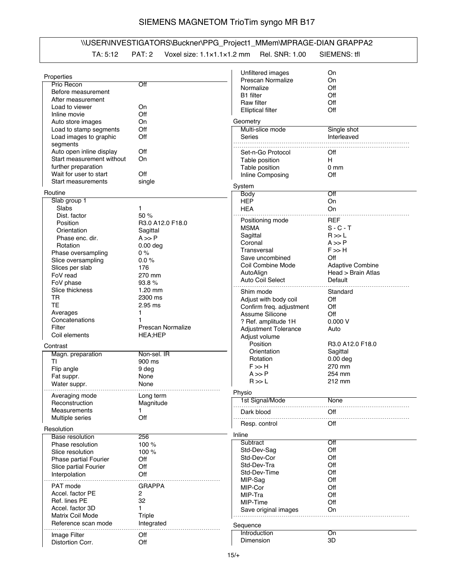## SIEMENS MAGNETOM TrioTim syngo MR B17

## \\USER\INVESTIGATORS\Buckner\PPG\_Project1\_MMem\MPRAGE-DIAN GRAPPA2 TA: 5:12 PAT: 2 Voxel size: 1.1×1.1×1.2 mm Rel. SNR: 1.00 SIEMENS: tfl

|                           |                   | Unfiltered images           | On                      |
|---------------------------|-------------------|-----------------------------|-------------------------|
| Properties                |                   | Prescan Normalize           | On                      |
| Prio Recon                | Off               | Normalize                   | Off                     |
| Before measurement        |                   | <b>B1</b> filter            | Off                     |
| After measurement         |                   |                             |                         |
| Load to viewer            | On                | Raw filter                  | Off                     |
| Inline movie              | Off               | <b>Elliptical filter</b>    | Off                     |
| Auto store images         | On                | Geometry                    |                         |
| Load to stamp segments    | Off               | Multi-slice mode            | Single shot             |
|                           |                   | Series                      |                         |
| Load images to graphic    | Off               |                             | Interleaved             |
| segments                  |                   |                             |                         |
| Auto open inline display  | Off               | Set-n-Go Protocol           | Off                     |
| Start measurement without | On                | Table position              | H                       |
| further preparation       |                   | Table position              | 0 <sub>mm</sub>         |
| Wait for user to start    | Off               | Inline Composing            | Off                     |
| Start measurements        | single            |                             |                         |
|                           |                   | System                      |                         |
| Routine                   |                   | <b>Body</b>                 | Off                     |
| Slab group 1              |                   | <b>HEP</b>                  | On                      |
| Slabs                     | 1                 | <b>HEA</b>                  | On                      |
| Dist. factor              | 50 %              |                             |                         |
| Position                  | R3.0 A12.0 F18.0  | Positioning mode            | <b>REF</b>              |
| Orientation               | Sagittal          | <b>MSMA</b>                 | $S - C - T$             |
| Phase enc. dir.           | $A \gg P$         | Sagittal                    | R >> L                  |
| Rotation                  | $0.00$ deg        | Coronal                     | $A \gg P$               |
|                           |                   | Transversal                 | $F \gg H$               |
| Phase oversampling        | 0%                | Save uncombined             | Off                     |
| Slice oversampling        | 0.0%              | Coil Combine Mode           | <b>Adaptive Combine</b> |
| Slices per slab           | 176               | AutoAlign                   | Head > Brain Atlas      |
| FoV read                  | 270 mm            | Auto Coil Select            |                         |
| FoV phase                 | 93.8%             |                             | Default                 |
| Slice thickness           | $1.20$ mm         | Shim mode                   | Standard                |
| TR                        | 2300 ms           | Adjust with body coil       | Off                     |
| <b>TE</b>                 | $2.95$ ms         | Confirm freq. adjustment    | Off                     |
| Averages                  | 1                 | Assume Silicone             | Off                     |
| Concatenations            |                   |                             |                         |
| Filter                    | Prescan Normalize | ? Ref. amplitude 1H         | 0.000V                  |
|                           |                   | <b>Adjustment Tolerance</b> | Auto                    |
| Coil elements             | <b>HEA;HEP</b>    | Adjust volume               |                         |
| Contrast                  |                   | Position                    | R3.0 A12.0 F18.0        |
| Magn. preparation         | Non-sel. IR       | Orientation                 | Sagittal                |
| ΤI                        | 900 ms            | Rotation                    | $0.00$ deg              |
| Flip angle                | 9 deg             | $F \gg H$                   | 270 mm                  |
|                           |                   | $A \gg P$                   | 254 mm                  |
| Fat suppr.                | None              | R >> L                      | 212 mm                  |
| Water suppr.              | None              |                             |                         |
| Averaging mode            | Long term         | Physio                      |                         |
| Reconstruction            | Magnitude         | 1st Signal/Mode             | None                    |
| Measurements              |                   |                             |                         |
|                           |                   | Dark blood                  | Off                     |
| Multiple series           | Off               | Resp. control               | Off                     |
| Resolution                |                   |                             |                         |
| <b>Base resolution</b>    | 256               | Inline                      |                         |
| Phase resolution          | 100 %             | Subtract                    | Off                     |
| Slice resolution          | 100 %             | Std-Dev-Sag                 | Off                     |
|                           |                   | Std-Dev-Cor                 | Off                     |
| Phase partial Fourier     | Off               | Std-Dev-Tra                 | Off                     |
| Slice partial Fourier     | Off               | Std-Dev-Time                | Off                     |
| Interpolation             | Off               |                             |                         |
| PAT mode                  | <b>GRAPPA</b>     | MIP-Sag                     | Off                     |
|                           |                   | MIP-Cor                     | Off                     |
| Accel. factor PE          | 2                 | MIP-Tra                     | Off                     |
| Ref. lines PE             | 32                | MIP-Time                    | Off                     |
| Accel. factor 3D          | 1                 | Save original images        | On                      |
| Matrix Coil Mode          | <b>Triple</b>     |                             |                         |
| Reference scan mode       | Integrated        | Sequence                    |                         |
|                           |                   | Introduction                | On                      |
| Image Filter              | Off               | Dimension                   | 3D                      |
| Distortion Corr.          | Off               |                             |                         |